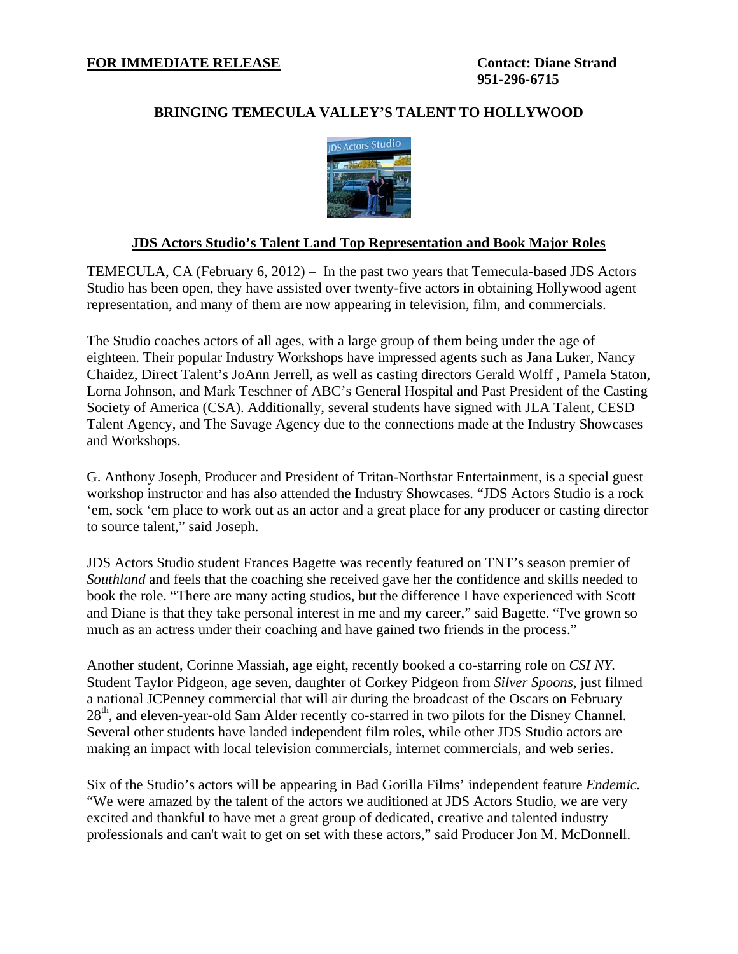## **BRINGING TEMECULA VALLEY'S TALENT TO HOLLYWOOD**



## **JDS Actors Studio's Talent Land Top Representation and Book Major Roles**

TEMECULA, CA (February 6, 2012) – In the past two years that Temecula-based JDS Actors Studio has been open, they have assisted over twenty-five actors in obtaining Hollywood agent representation, and many of them are now appearing in television, film, and commercials.

The Studio coaches actors of all ages, with a large group of them being under the age of eighteen. Their popular Industry Workshops have impressed agents such as Jana Luker, Nancy Chaidez, Direct Talent's JoAnn Jerrell, as well as casting directors Gerald Wolff , Pamela Staton, Lorna Johnson, and Mark Teschner of ABC's General Hospital and Past President of the Casting Society of America (CSA). Additionally, several students have signed with JLA Talent, CESD Talent Agency, and The Savage Agency due to the connections made at the Industry Showcases and Workshops.

G. Anthony Joseph, Producer and President of Tritan-Northstar Entertainment, is a special guest workshop instructor and has also attended the Industry Showcases. "JDS Actors Studio is a rock 'em, sock 'em place to work out as an actor and a great place for any producer or casting director to source talent," said Joseph.

JDS Actors Studio student Frances Bagette was recently featured on TNT's season premier of *Southland* and feels that the coaching she received gave her the confidence and skills needed to book the role. "There are many acting studios, but the difference I have experienced with Scott and Diane is that they take personal interest in me and my career," said Bagette. "I've grown so much as an actress under their coaching and have gained two friends in the process."

Another student, Corinne Massiah, age eight, recently booked a co-starring role on *CSI NY.* Student Taylor Pidgeon, age seven, daughter of Corkey Pidgeon from *Silver Spoons*, just filmed a national JCPenney commercial that will air during the broadcast of the Oscars on February 28<sup>th</sup>, and eleven-year-old Sam Alder recently co-starred in two pilots for the Disney Channel. Several other students have landed independent film roles, while other JDS Studio actors are making an impact with local television commercials, internet commercials, and web series.

Six of the Studio's actors will be appearing in Bad Gorilla Films' independent feature *Endemic.* "We were amazed by the talent of the actors we auditioned at JDS Actors Studio, we are very excited and thankful to have met a great group of dedicated, creative and talented industry professionals and can't wait to get on set with these actors," said Producer Jon M. McDonnell.